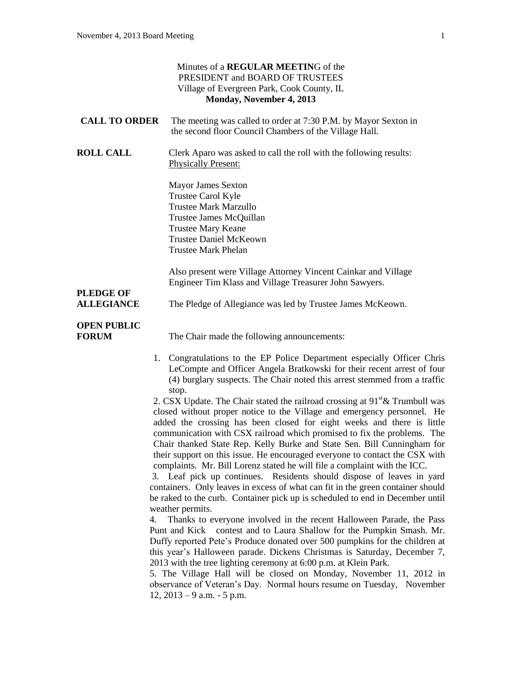| Minutes of a REGULAR MEETING of the<br>PRESIDENT and BOARD OF TRUSTEES<br>Village of Evergreen Park, Cook County, IL<br>Monday, November 4, 2013 |                                                                                                                                                                                                                                                                                                                                                                                                                                                                                                                                                                                                                                                                                                                                                                                                                                                                                                                                                                                                                                                                                                                                                                                                                                                                                                                                                                                                                                                                                                                                                                                                                                          |
|--------------------------------------------------------------------------------------------------------------------------------------------------|------------------------------------------------------------------------------------------------------------------------------------------------------------------------------------------------------------------------------------------------------------------------------------------------------------------------------------------------------------------------------------------------------------------------------------------------------------------------------------------------------------------------------------------------------------------------------------------------------------------------------------------------------------------------------------------------------------------------------------------------------------------------------------------------------------------------------------------------------------------------------------------------------------------------------------------------------------------------------------------------------------------------------------------------------------------------------------------------------------------------------------------------------------------------------------------------------------------------------------------------------------------------------------------------------------------------------------------------------------------------------------------------------------------------------------------------------------------------------------------------------------------------------------------------------------------------------------------------------------------------------------------|
| <b>CALL TO ORDER</b>                                                                                                                             | The meeting was called to order at 7:30 P.M. by Mayor Sexton in<br>the second floor Council Chambers of the Village Hall.                                                                                                                                                                                                                                                                                                                                                                                                                                                                                                                                                                                                                                                                                                                                                                                                                                                                                                                                                                                                                                                                                                                                                                                                                                                                                                                                                                                                                                                                                                                |
| <b>ROLL CALL</b>                                                                                                                                 | Clerk Aparo was asked to call the roll with the following results:<br><b>Physically Present:</b>                                                                                                                                                                                                                                                                                                                                                                                                                                                                                                                                                                                                                                                                                                                                                                                                                                                                                                                                                                                                                                                                                                                                                                                                                                                                                                                                                                                                                                                                                                                                         |
|                                                                                                                                                  | <b>Mayor James Sexton</b><br>Trustee Carol Kyle<br><b>Trustee Mark Marzullo</b><br>Trustee James McQuillan<br><b>Trustee Mary Keane</b><br><b>Trustee Daniel McKeown</b><br><b>Trustee Mark Phelan</b>                                                                                                                                                                                                                                                                                                                                                                                                                                                                                                                                                                                                                                                                                                                                                                                                                                                                                                                                                                                                                                                                                                                                                                                                                                                                                                                                                                                                                                   |
|                                                                                                                                                  | Also present were Village Attorney Vincent Cainkar and Village<br>Engineer Tim Klass and Village Treasurer John Sawyers.                                                                                                                                                                                                                                                                                                                                                                                                                                                                                                                                                                                                                                                                                                                                                                                                                                                                                                                                                                                                                                                                                                                                                                                                                                                                                                                                                                                                                                                                                                                 |
| <b>PLEDGE OF</b><br><b>ALLEGIANCE</b>                                                                                                            | The Pledge of Allegiance was led by Trustee James McKeown.                                                                                                                                                                                                                                                                                                                                                                                                                                                                                                                                                                                                                                                                                                                                                                                                                                                                                                                                                                                                                                                                                                                                                                                                                                                                                                                                                                                                                                                                                                                                                                               |
| <b>OPEN PUBLIC</b><br><b>FORUM</b>                                                                                                               | The Chair made the following announcements:                                                                                                                                                                                                                                                                                                                                                                                                                                                                                                                                                                                                                                                                                                                                                                                                                                                                                                                                                                                                                                                                                                                                                                                                                                                                                                                                                                                                                                                                                                                                                                                              |
|                                                                                                                                                  | 1. Congratulations to the EP Police Department especially Officer Chris<br>LeCompte and Officer Angela Bratkowski for their recent arrest of four<br>(4) burglary suspects. The Chair noted this arrest stemmed from a traffic<br>stop.<br>2. CSX Update. The Chair stated the railroad crossing at $91st \&$ Trumbull was<br>closed without proper notice to the Village and emergency personnel. He<br>added the crossing has been closed for eight weeks and there is little<br>communication with CSX railroad which promised to fix the problems. The<br>Chair thanked State Rep. Kelly Burke and State Sen. Bill Cunningham for<br>their support on this issue. He encouraged everyone to contact the CSX with<br>complaints. Mr. Bill Lorenz stated he will file a complaint with the ICC.<br>3. Leaf pick up continues. Residents should dispose of leaves in yard<br>containers. Only leaves in excess of what can fit in the green container should<br>be raked to the curb. Container pick up is scheduled to end in December until<br>weather permits.<br>Thanks to everyone involved in the recent Halloween Parade, the Pass<br>4.<br>Punt and Kick contest and to Laura Shallow for the Pumpkin Smash. Mr.<br>Duffy reported Pete's Produce donated over 500 pumpkins for the children at<br>this year's Halloween parade. Dickens Christmas is Saturday, December 7,<br>2013 with the tree lighting ceremony at 6:00 p.m. at Klein Park.<br>5. The Village Hall will be closed on Monday, November 11, 2012 in<br>observance of Veteran's Day. Normal hours resume on Tuesday, November<br>$12, 2013 - 9$ a.m. $-5$ p.m. |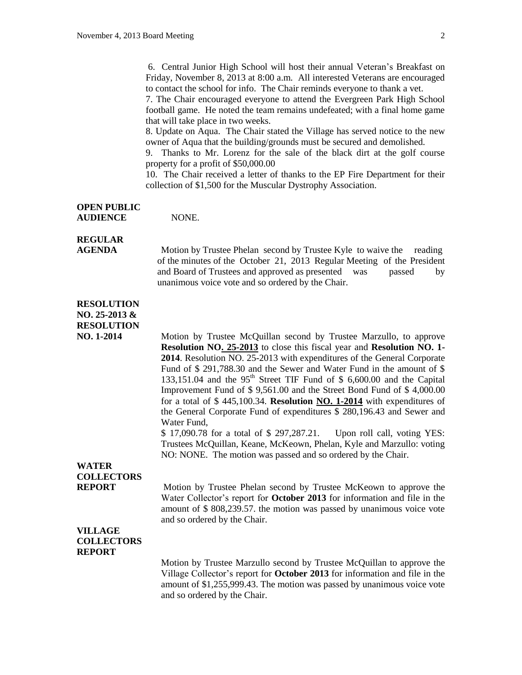6. Central Junior High School will host their annual Veteran's Breakfast on Friday, November 8, 2013 at 8:00 a.m. All interested Veterans are encouraged to contact the school for info. The Chair reminds everyone to thank a vet.

7. The Chair encouraged everyone to attend the Evergreen Park High School football game. He noted the team remains undefeated; with a final home game that will take place in two weeks.

8. Update on Aqua. The Chair stated the Village has served notice to the new owner of Aqua that the building/grounds must be secured and demolished.

9. Thanks to Mr. Lorenz for the sale of the black dirt at the golf course property for a profit of \$50,000.00

10. The Chair received a letter of thanks to the EP Fire Department for their collection of \$1,500 for the Muscular Dystrophy Association.

#### **OPEN PUBLIC AUDIENCE** NONE.

# **REGULAR**

**AGENDA** Motion by Trustee Phelan second by Trustee Kyle to waive the reading of the minutes of the October 21, 2013 Regular Meeting of the President and Board of Trustees and approved as presented was passed by unanimous voice vote and so ordered by the Chair.

## **RESOLUTION**

**NO. 25-2013 & RESOLUTION**

**NO. 1-2014** Motion by Trustee McQuillan second by Trustee Marzullo, to approve **Resolution NO. 25-2013** to close this fiscal year and **Resolution NO. 1- 2014**. Resolution NO. 25-2013 with expenditures of the General Corporate Fund of \$ 291,788.30 and the Sewer and Water Fund in the amount of \$ 133,151.04 and the  $95<sup>th</sup>$  Street TIF Fund of \$ 6,600.00 and the Capital Improvement Fund of \$ 9,561.00 and the Street Bond Fund of \$ 4,000.00 for a total of \$ 445,100.34. **Resolution NO. 1-2014** with expenditures of the General Corporate Fund of expenditures \$ 280,196.43 and Sewer and Water Fund,

> \$ 17,090.78 for a total of \$ 297,287.21. Upon roll call, voting YES: Trustees McQuillan, Keane, McKeown, Phelan, Kyle and Marzullo: voting NO: NONE. The motion was passed and so ordered by the Chair.

## **WATER COLLECTORS**

**REPORT** Motion by Trustee Phelan second by Trustee McKeown to approve the Water Collector's report for **October 2013** for information and file in the amount of \$ 808,239.57. the motion was passed by unanimous voice vote and so ordered by the Chair.

### **VILLAGE COLLECTORS REPORT**

Motion by Trustee Marzullo second by Trustee McQuillan to approve the Village Collector's report for **October 2013** for information and file in the amount of \$1,255,999.43. The motion was passed by unanimous voice vote and so ordered by the Chair.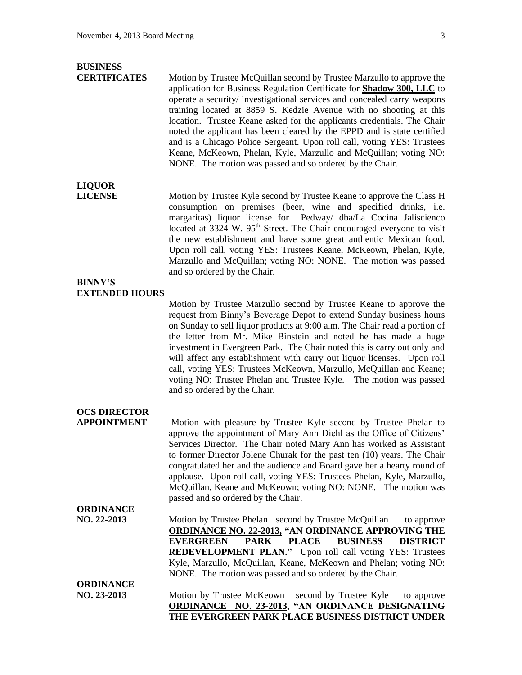## **BUSINESS**

**CERTIFICATES** Motion by Trustee McQuillan second by Trustee Marzullo to approve the application for Business Regulation Certificate for **Shadow 300, LLC** to operate a security/ investigational services and concealed carry weapons training located at 8859 S. Kedzie Avenue with no shooting at this location. Trustee Keane asked for the applicants credentials. The Chair noted the applicant has been cleared by the EPPD and is state certified and is a Chicago Police Sergeant. Upon roll call, voting YES: Trustees Keane, McKeown, Phelan, Kyle, Marzullo and McQuillan; voting NO: NONE. The motion was passed and so ordered by the Chair.

# **LIQUOR**

**LICENSE** Motion by Trustee Kyle second by Trustee Keane to approve the Class H consumption on premises (beer, wine and specified drinks, i.e. margaritas) liquor license for Pedway/ dba/La Cocina Jaliscienco located at 3324 W.  $95<sup>th</sup>$  Street. The Chair encouraged everyone to visit the new establishment and have some great authentic Mexican food. Upon roll call, voting YES: Trustees Keane, McKeown, Phelan, Kyle, Marzullo and McQuillan; voting NO: NONE. The motion was passed and so ordered by the Chair.

### **BINNY'S EXTENDED HOURS**

Motion by Trustee Marzullo second by Trustee Keane to approve the request from Binny's Beverage Depot to extend Sunday business hours on Sunday to sell liquor products at 9:00 a.m. The Chair read a portion of the letter from Mr. Mike Binstein and noted he has made a huge investment in Evergreen Park. The Chair noted this is carry out only and will affect any establishment with carry out liquor licenses. Upon roll call, voting YES: Trustees McKeown, Marzullo, McQuillan and Keane; voting NO: Trustee Phelan and Trustee Kyle. The motion was passed and so ordered by the Chair.

# **OCS DIRECTOR**

**APPOINTMENT** Motion with pleasure by Trustee Kyle second by Trustee Phelan to approve the appointment of Mary Ann Diehl as the Office of Citizens' Services Director. The Chair noted Mary Ann has worked as Assistant to former Director Jolene Churak for the past ten (10) years. The Chair congratulated her and the audience and Board gave her a hearty round of applause. Upon roll call, voting YES: Trustees Phelan, Kyle, Marzullo, McQuillan, Keane and McKeown; voting NO: NONE. The motion was passed and so ordered by the Chair.

## **NO. 22-2013** Motion by Trustee Phelan second by Trustee McQuillan to approve **ORDINANCE NO. 22-2013, "AN ORDINANCE APPROVING THE EVERGREEN PARK PLACE BUSINESS DISTRICT REDEVELOPMENT PLAN."** Upon roll call voting YES: Trustees Kyle, Marzullo, McQuillan, Keane, McKeown and Phelan; voting NO: NONE. The motion was passed and so ordered by the Chair.

**ORDINANCE**

**ORDINANCE**

**NO. 23-2013** Motion by Trustee McKeown second by Trustee Kyle to approve **ORDINANCE NO. 23-2013, "AN ORDINANCE DESIGNATING THE EVERGREEN PARK PLACE BUSINESS DISTRICT UNDER**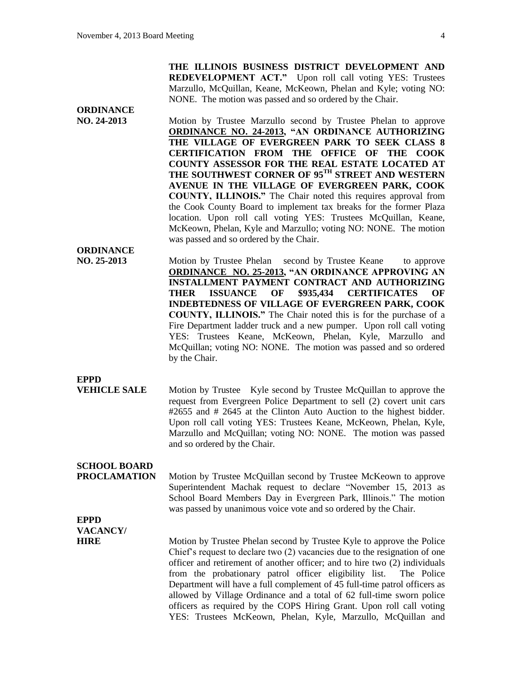**ORDINANCE**

**ORDINANCE**

**THE ILLINOIS BUSINESS DISTRICT DEVELOPMENT AND REDEVELOPMENT ACT."** Upon roll call voting YES: Trustees Marzullo, McQuillan, Keane, McKeown, Phelan and Kyle; voting NO: NONE. The motion was passed and so ordered by the Chair.

**NO. 24-2013** Motion by Trustee Marzullo second by Trustee Phelan to approve **ORDINANCE NO. 24-2013, "AN ORDINANCE AUTHORIZING THE VILLAGE OF EVERGREEN PARK TO SEEK CLASS 8 CERTIFICATION FROM THE OFFICE OF THE COOK COUNTY ASSESSOR FOR THE REAL ESTATE LOCATED AT THE SOUTHWEST CORNER OF 95TH STREET AND WESTERN AVENUE IN THE VILLAGE OF EVERGREEN PARK, COOK COUNTY, ILLINOIS."** The Chair noted this requires approval from the Cook County Board to implement tax breaks for the former Plaza location. Upon roll call voting YES: Trustees McQuillan, Keane, McKeown, Phelan, Kyle and Marzullo; voting NO: NONE. The motion was passed and so ordered by the Chair.

**NO. 25-2013** Motion by Trustee Phelan second by Trustee Keane to approve **ORDINANCE NO. 25-2013, "AN ORDINANCE APPROVING AN INSTALLMENT PAYMENT CONTRACT AND AUTHORIZING THER ISSUANCE OF \$935,434 CERTIFICATES OF INDEBTEDNESS OF VILLAGE OF EVERGREEN PARK, COOK COUNTY, ILLINOIS."** The Chair noted this is for the purchase of a Fire Department ladder truck and a new pumper. Upon roll call voting YES: Trustees Keane, McKeown, Phelan, Kyle, Marzullo and McQuillan; voting NO: NONE. The motion was passed and so ordered by the Chair.

**EPPD**

**VEHICLE SALE** Motion by Trustee Kyle second by Trustee McQuillan to approve the request from Evergreen Police Department to sell (2) covert unit cars #2655 and # 2645 at the Clinton Auto Auction to the highest bidder. Upon roll call voting YES: Trustees Keane, McKeown, Phelan, Kyle, Marzullo and McQuillan; voting NO: NONE. The motion was passed and so ordered by the Chair.

# **SCHOOL BOARD**

**PROCLAMATION** Motion by Trustee McQuillan second by Trustee McKeown to approve Superintendent Machak request to declare "November 15, 2013 as School Board Members Day in Evergreen Park, Illinois." The motion was passed by unanimous voice vote and so ordered by the Chair.

**EPPD VACANCY/**

**HIRE** Motion by Trustee Phelan second by Trustee Kyle to approve the Police Chief's request to declare two (2) vacancies due to the resignation of one officer and retirement of another officer; and to hire two (2) individuals from the probationary patrol officer eligibility list. The Police Department will have a full complement of 45 full-time patrol officers as allowed by Village Ordinance and a total of 62 full-time sworn police officers as required by the COPS Hiring Grant. Upon roll call voting YES: Trustees McKeown, Phelan, Kyle, Marzullo, McQuillan and